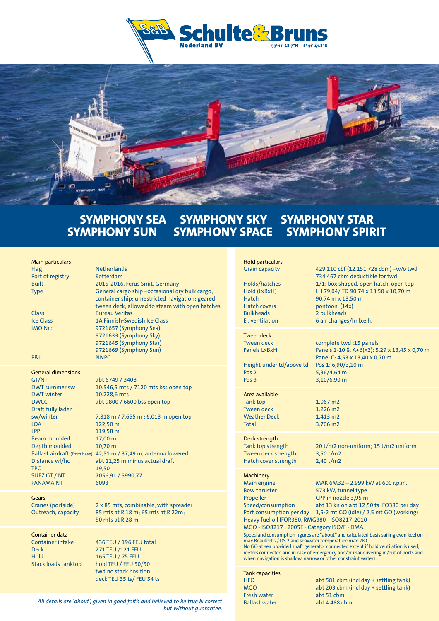



## **SYMPHONY SEA SYMPHONY SKY SYMPHONY STAR<br>SYMPHONY SUN SYMPHONY SPACE SYMPHONY SPIR SYMPHONY SPACE SYMPHONY SPIRIT**

| <b>Main particulars</b><br>Flag<br>Port of registry<br><b>Built</b><br><b>Type</b><br><b>Class</b><br><b>Ice Class</b><br>IMO Nr.:<br><b>P&amp;I</b>                                                                                                                     | <b>Netherlands</b><br>Rotterdam<br>2015-2016, Ferus Smit, Germany<br>General cargo ship -occasional dry bulk cargo;<br>container ship; unrestricted navigation; geared;<br>tween deck; allowed to steam with open hatches<br><b>Bureau Veritas</b><br>1A Finnish-Swedish Ice Class<br>9721657 (Symphony Sea)<br>9721633 (Symphony Sky)<br>9721645 (Symphony Star)<br>9721669 (Symphony Sun)<br><b>NNPC</b> |
|--------------------------------------------------------------------------------------------------------------------------------------------------------------------------------------------------------------------------------------------------------------------------|------------------------------------------------------------------------------------------------------------------------------------------------------------------------------------------------------------------------------------------------------------------------------------------------------------------------------------------------------------------------------------------------------------|
| <b>General dimensions</b><br><b>GT/NT</b><br><b>DWT summer sw</b><br><b>DWT</b> winter<br><b>DWCC</b><br>Draft fully laden<br>sw/winter<br><b>LOA</b><br>LPP<br><b>Beam moulded</b><br>Depth moulded<br>Distance wl/hc<br><b>TPC</b><br>SUEZ GT / NT<br><b>PANAMA NT</b> | abt 6749 / 3408<br>10.546,5 mts / 7120 mts bss open top<br>10.228,6 mts<br>abt 9800 / 6600 bss open top<br>7,818 m / 7,655 m ; 6,013 m open top<br>122,50 m<br>119,58 m<br>17,00 m<br>10,70 m<br>Ballast airdraft (from base) 42,51 m / 37,49 m, antenna lowered<br>abt 11,25 m minus actual draft<br>19,50<br>7056,91 / 5990,77<br>6093                                                                   |
| Gears<br>Cranes (portside)<br>Outreach, capacity                                                                                                                                                                                                                         | 2 x 85 mts, combinable, with spreader<br>85 mts at R 18 m; 65 mts at R 22m;<br>50 mts at R 28 m                                                                                                                                                                                                                                                                                                            |
| Container data<br><b>Container intake</b><br><b>Deck</b><br>Hold<br><b>Stack loads tanktop</b>                                                                                                                                                                           | 436 TEU / 196 FEU total<br>271 TEU /121 FEU<br>165 TEU / 75 FEU<br>hold TEU / FEU 50/50<br>twd no stack position<br>deck TEU 35 ts/FEU 54 ts                                                                                                                                                                                                                                                               |

| <b>Hold particulars</b><br><b>Grain capacity</b><br>Holds/hatches<br>Hold (LxBxH)<br><b>Hatch</b><br><b>Hatch covers</b><br><b>Bulkheads</b><br><b>El.</b> ventilation                                                                                                                                                                                                                                                                                                                                                                                                                                                                                                                                                                                                                            | 429.110 cbf (12.151,728 cbm) -w/o twd<br>734,467 cbm deductible for twd<br>1/1; box shaped, open hatch, open top<br>LH 79,04/ TD 90,74 x 13,50 x 10,70 m<br>90,74 m x 13,50 m<br>pontoon, (14x)<br>2 bulkheads<br>6 air changes/hr b.e.h. |
|---------------------------------------------------------------------------------------------------------------------------------------------------------------------------------------------------------------------------------------------------------------------------------------------------------------------------------------------------------------------------------------------------------------------------------------------------------------------------------------------------------------------------------------------------------------------------------------------------------------------------------------------------------------------------------------------------------------------------------------------------------------------------------------------------|-------------------------------------------------------------------------------------------------------------------------------------------------------------------------------------------------------------------------------------------|
| <b>Tweendeck</b><br><b>Tween deck</b><br><b>Panels LxBxH</b><br>Height under td/above td<br>Pos <sub>2</sub><br>Pos <sub>3</sub>                                                                                                                                                                                                                                                                                                                                                                                                                                                                                                                                                                                                                                                                  | complete twd ;15 panels<br>Panels 1-10 & A+B(x2): 5,29 x 13,45 x 0,70 m<br>Panel C: 4,53 x 13,40 x 0,70 m<br>Pos 1: 6,90/3,10 m<br>5,36/4,64 m<br>3,10/6,90 m                                                                             |
| Area available<br><b>Tank top</b><br><b>Tween deck</b><br><b>Weather Deck</b><br>Total                                                                                                                                                                                                                                                                                                                                                                                                                                                                                                                                                                                                                                                                                                            | $1.067$ m2<br>1.226 m2<br>1.413 m2<br>3.706 m2                                                                                                                                                                                            |
| Deck strength<br>Tank top strength<br>Tween deck strength<br>Hatch cover strength                                                                                                                                                                                                                                                                                                                                                                                                                                                                                                                                                                                                                                                                                                                 | 20 t/m2 non-uniform; 15 t/m2 uniform<br>3,50 t/m2<br>$2,40$ t/m2                                                                                                                                                                          |
| <b>Machinery</b><br>Main engine<br>MAK 6M32 - 2.999 kW at 600 r.p.m.<br><b>Bow thruster</b><br>573 kW, tunnel type<br>CPP in nozzle 3,95 m<br>Propeller<br>abt 13 kn on abt 12,50 ts IFO380 per day<br>Speed/consumption<br>1,5-2 mt GO (idle) / 2,5 mt GO (working)<br>Port consumption per day<br>Heavy fuel oil IFOR380, RMG380 - ISO8217-2010<br>MGO - ISO8217: 2005E - Category ISO/F - DMA.<br>Speed and consumption figures are "about" and calculated basis sailing even keel on<br>max Beaufort 2/ DS 2 and seawater temperature max 28 C.<br>No GO at sea provided shaft generator connected except if hold ventilation is used,<br>reefers connected and in case of emergency and/or maneuvering in/out of ports and<br>when navigation is shallow, narrow or other constraint waters. |                                                                                                                                                                                                                                           |
| <b>Tank capacities</b><br><b>HFO</b><br><b>MGO</b><br><b>Fresh water</b><br><b>Ballast water</b>                                                                                                                                                                                                                                                                                                                                                                                                                                                                                                                                                                                                                                                                                                  | abt 581 cbm (incl day + settling tank)<br>abt 203 cbm (incl day + settling tank)<br>abt 51 cbm<br>abt 4.488 cbm                                                                                                                           |

*All details are 'about', given in good faith and believed to be true & correct but without guarantee.*